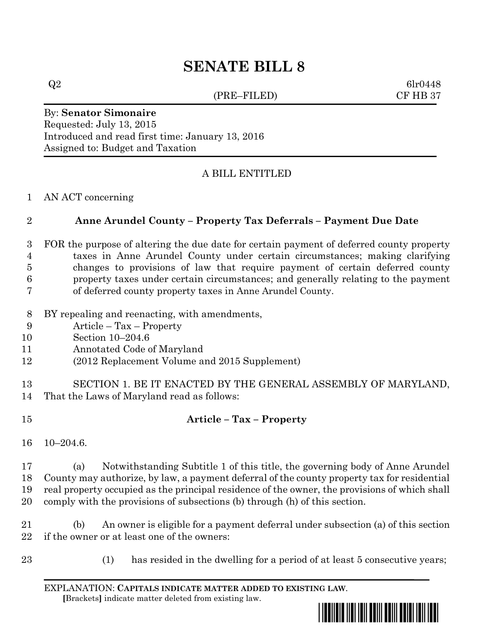# **SENATE BILL 8**

(PRE–FILED) CF HB 37

 $Q2 \qquad 6\text{lr}0448$ 

#### By: **Senator Simonaire** Requested: July 13, 2015 Introduced and read first time: January 13, 2016 Assigned to: Budget and Taxation

### A BILL ENTITLED

#### AN ACT concerning

#### **Anne Arundel County – Property Tax Deferrals – Payment Due Date**

- FOR the purpose of altering the due date for certain payment of deferred county property taxes in Anne Arundel County under certain circumstances; making clarifying changes to provisions of law that require payment of certain deferred county property taxes under certain circumstances; and generally relating to the payment of deferred county property taxes in Anne Arundel County.
- BY repealing and reenacting, with amendments,
- Article Tax Property
- Section 10–204.6
- Annotated Code of Maryland
- (2012 Replacement Volume and 2015 Supplement)
- SECTION 1. BE IT ENACTED BY THE GENERAL ASSEMBLY OF MARYLAND, That the Laws of Maryland read as follows:
- **Article – Tax – Property**
- 10–204.6.

 (a) Notwithstanding Subtitle 1 of this title, the governing body of Anne Arundel County may authorize, by law, a payment deferral of the county property tax for residential real property occupied as the principal residence of the owner, the provisions of which shall comply with the provisions of subsections (b) through (h) of this section.

 (b) An owner is eligible for a payment deferral under subsection (a) of this section if the owner or at least one of the owners:

- 
- (1) has resided in the dwelling for a period of at least 5 consecutive years;

EXPLANATION: **CAPITALS INDICATE MATTER ADDED TO EXISTING LAW**.  **[**Brackets**]** indicate matter deleted from existing law.

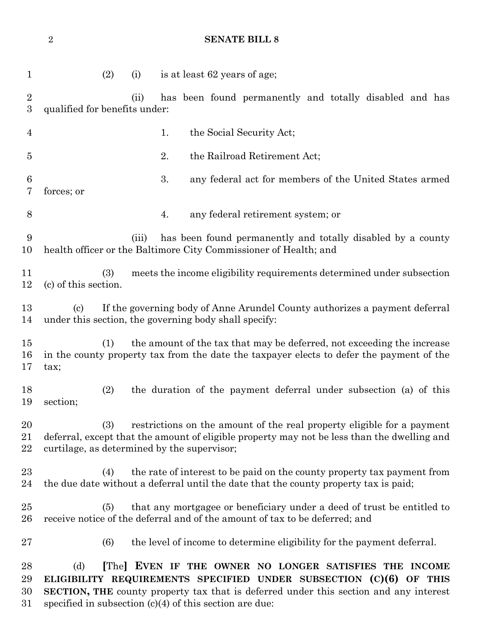## **SENATE BILL 8**

| $\mathbf{1}$                       |                               | (2) | (i)   | is at least 62 years of age;                                                                                                                                                                                          |
|------------------------------------|-------------------------------|-----|-------|-----------------------------------------------------------------------------------------------------------------------------------------------------------------------------------------------------------------------|
| $\overline{2}$<br>$\boldsymbol{3}$ | qualified for benefits under: |     | (ii)  | has been found permanently and totally disabled and has                                                                                                                                                               |
| $\overline{4}$                     |                               |     |       | 1.<br>the Social Security Act;                                                                                                                                                                                        |
| 5                                  |                               |     |       | 2.<br>the Railroad Retirement Act;                                                                                                                                                                                    |
| 6<br>7                             | forces; or                    |     |       | 3.<br>any federal act for members of the United States armed                                                                                                                                                          |
| $8\,$                              |                               |     |       | any federal retirement system; or<br>4.                                                                                                                                                                               |
| 9<br>10                            |                               |     | (iii) | has been found permanently and totally disabled by a county<br>health officer or the Baltimore City Commissioner of Health; and                                                                                       |
| 11<br>12                           | (c) of this section.          | (3) |       | meets the income eligibility requirements determined under subsection                                                                                                                                                 |
| 13<br>14                           | $\left( \mathrm{e}\right)$    |     |       | If the governing body of Anne Arundel County authorizes a payment deferral<br>under this section, the governing body shall specify:                                                                                   |
| 15<br>16<br>17                     | tax;                          | (1) |       | the amount of the tax that may be deferred, not exceeding the increase<br>in the county property tax from the date the taxpayer elects to defer the payment of the                                                    |
| 18<br>19                           | section;                      | (2) |       | the duration of the payment deferral under subsection (a) of this                                                                                                                                                     |
| 20<br>21<br>22                     |                               | (3) |       | restrictions on the amount of the real property eligible for a payment<br>deferral, except that the amount of eligible property may not be less than the dwelling and<br>curtilage, as determined by the supervisor;  |
| 23<br>24                           |                               | (4) |       | the rate of interest to be paid on the county property tax payment from<br>the due date without a deferral until the date that the county property tax is paid;                                                       |
| 25<br>26                           |                               | (5) |       | that any mortgagee or beneficiary under a deed of trust be entitled to<br>receive notice of the deferral and of the amount of tax to be deferred; and                                                                 |
| $27\,$                             |                               | (6) |       | the level of income to determine eligibility for the payment deferral.                                                                                                                                                |
| 28<br>29<br>30                     | (d)                           |     |       | The EVEN IF THE OWNER NO LONGER SATISFIES THE INCOME<br>ELIGIBILITY REQUIREMENTS SPECIFIED UNDER SUBSECTION $(C)(6)$ OF THIS<br>SECTION, THE county property tax that is deferred under this section and any interest |

31 specified in subsection  $(c)(4)$  of this section are due: